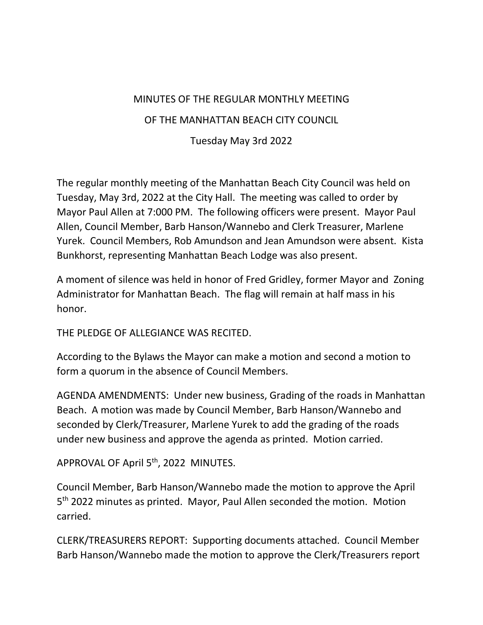## MINUTES OF THE REGULAR MONTHLY MEETING

## OF THE MANHATTAN BEACH CITY COUNCIL

Tuesday May 3rd 2022

The regular monthly meeting of the Manhattan Beach City Council was held on Tuesday, May 3rd, 2022 at the City Hall. The meeting was called to order by Mayor Paul Allen at 7:000 PM. The following officers were present. Mayor Paul Allen, Council Member, Barb Hanson/Wannebo and Clerk Treasurer, Marlene Yurek. Council Members, Rob Amundson and Jean Amundson were absent. Kista Bunkhorst, representing Manhattan Beach Lodge was also present.

A moment of silence was held in honor of Fred Gridley, former Mayor and Zoning Administrator for Manhattan Beach. The flag will remain at half mass in his honor.

THE PLEDGE OF ALLEGIANCE WAS RECITED.

According to the Bylaws the Mayor can make a motion and second a motion to form a quorum in the absence of Council Members.

AGENDA AMENDMENTS: Under new business, Grading of the roads in Manhattan Beach. A motion was made by Council Member, Barb Hanson/Wannebo and seconded by Clerk/Treasurer, Marlene Yurek to add the grading of the roads under new business and approve the agenda as printed. Motion carried.

APPROVAL OF April 5<sup>th</sup>, 2022 MINUTES.

Council Member, Barb Hanson/Wannebo made the motion to approve the April 5<sup>th</sup> 2022 minutes as printed. Mayor, Paul Allen seconded the motion. Motion carried.

CLERK/TREASURERS REPORT: Supporting documents attached. Council Member Barb Hanson/Wannebo made the motion to approve the Clerk/Treasurers report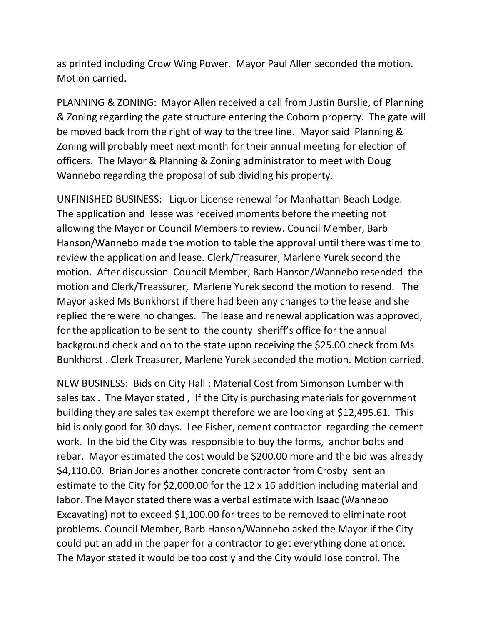as printed including Crow Wing Power. Mayor Paul Allen seconded the motion. Motion carried.

PLANNING & ZONING: Mayor Allen received a call from Justin Burslie, of Planning & Zoning regarding the gate structure entering the Coborn property. The gate will be moved back from the right of way to the tree line. Mayor said Planning & Zoning will probably meet next month for their annual meeting for election of officers. The Mayor & Planning & Zoning administrator to meet with Doug Wannebo regarding the proposal of sub dividing his property.

UNFINISHED BUSINESS: Liquor License renewal for Manhattan Beach Lodge. The application and lease was received moments before the meeting not allowing the Mayor or Council Members to review. Council Member, Barb Hanson/Wannebo made the motion to table the approval until there was time to review the application and lease. Clerk/Treasurer, Marlene Yurek second the motion. After discussion Council Member, Barb Hanson/Wannebo resended the motion and Clerk/Treassurer, Marlene Yurek second the motion to resend. The Mayor asked Ms Bunkhorst if there had been any changes to the lease and she replied there were no changes. The lease and renewal application was approved, for the application to be sent to the county sheriff's office for the annual background check and on to the state upon receiving the \$25.00 check from Ms Bunkhorst . Clerk Treasurer, Marlene Yurek seconded the motion. Motion carried.

NEW BUSINESS: Bids on City Hall : Material Cost from Simonson Lumber with sales tax . The Mayor stated , If the City is purchasing materials for government building they are sales tax exempt therefore we are looking at \$12,495.61. This bid is only good for 30 days. Lee Fisher, cement contractor regarding the cement work. In the bid the City was responsible to buy the forms, anchor bolts and rebar. Mayor estimated the cost would be \$200.00 more and the bid was already \$4,110.00. Brian Jones another concrete contractor from Crosby sent an estimate to the City for \$2,000.00 for the 12 x 16 addition including material and labor. The Mayor stated there was a verbal estimate with Isaac (Wannebo Excavating) not to exceed \$1,100.00 for trees to be removed to eliminate root problems. Council Member, Barb Hanson/Wannebo asked the Mayor if the City could put an add in the paper for a contractor to get everything done at once. The Mayor stated it would be too costly and the City would lose control. The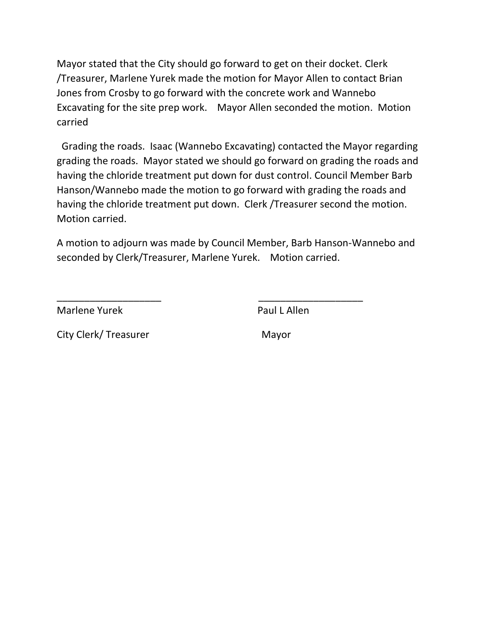Mayor stated that the City should go forward to get on their docket. Clerk /Treasurer, Marlene Yurek made the motion for Mayor Allen to contact Brian Jones from Crosby to go forward with the concrete work and Wannebo Excavating for the site prep work. Mayor Allen seconded the motion. Motion carried

Grading the roads. Isaac (Wannebo Excavating) contacted the Mayor regarding grading the roads. Mayor stated we should go forward on grading the roads and having the chloride treatment put down for dust control. Council Member Barb Hanson/Wannebo made the motion to go forward with grading the roads and having the chloride treatment put down. Clerk /Treasurer second the motion. Motion carried.

A motion to adjourn was made by Council Member, Barb Hanson-Wannebo and seconded by Clerk/Treasurer, Marlene Yurek. Motion carried.

\_\_\_\_\_\_\_\_\_\_\_\_\_\_\_\_\_\_\_ \_\_\_\_\_\_\_\_\_\_\_\_\_\_\_\_\_\_\_

Marlene Yurek **Paul L Allen** 

City Clerk/ Treasurer Mayor